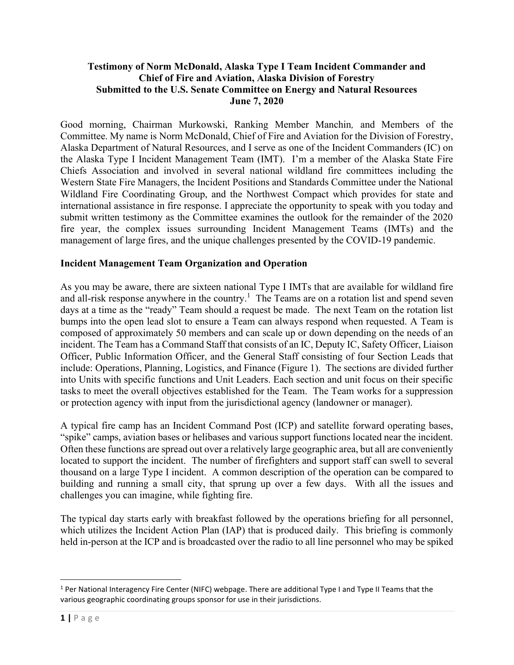#### **Testimony of Norm McDonald, Alaska Type I Team Incident Commander and Chief of Fire and Aviation, Alaska Division of Forestry Submitted to the U.S. Senate Committee on Energy and Natural Resources June 7, 2020**

Good morning, Chairman Murkowski, Ranking Member Manchin*,* and Members of the Committee. My name is Norm McDonald, Chief of Fire and Aviation for the Division of Forestry, Alaska Department of Natural Resources, and I serve as one of the Incident Commanders (IC) on the Alaska Type I Incident Management Team (IMT). I'm a member of the Alaska State Fire Chiefs Association and involved in several national wildland fire committees including the Western State Fire Managers, the Incident Positions and Standards Committee under the National Wildland Fire Coordinating Group, and the Northwest Compact which provides for state and international assistance in fire response. I appreciate the opportunity to speak with you today and submit written testimony as the Committee examines the outlook for the remainder of the 2020 fire year, the complex issues surrounding Incident Management Teams (IMTs) and the management of large fires, and the unique challenges presented by the COVID-19 pandemic.

#### **Incident Management Team Organization and Operation**

As you may be aware, there are sixteen national Type I IMTs that are available for wildland fire and all-risk response anywhere in the country.<sup>1</sup> The Teams are on a rotation list and spend seven days at a time as the "ready" Team should a request be made. The next Team on the rotation list bumps into the open lead slot to ensure a Team can always respond when requested. A Team is composed of approximately 50 members and can scale up or down depending on the needs of an incident. The Team has a Command Staff that consists of an IC, Deputy IC, Safety Officer, Liaison Officer, Public Information Officer, and the General Staff consisting of four Section Leads that include: Operations, Planning, Logistics, and Finance (Figure 1). The sections are divided further into Units with specific functions and Unit Leaders. Each section and unit focus on their specific tasks to meet the overall objectives established for the Team. The Team works for a suppression or protection agency with input from the jurisdictional agency (landowner or manager).

A typical fire camp has an Incident Command Post (ICP) and satellite forward operating bases, "spike" camps, aviation bases or helibases and various support functions located near the incident. Often these functions are spread out over a relatively large geographic area, but all are conveniently located to support the incident. The number of firefighters and support staff can swell to several thousand on a large Type I incident. A common description of the operation can be compared to building and running a small city, that sprung up over a few days. With all the issues and challenges you can imagine, while fighting fire.

The typical day starts early with breakfast followed by the operations briefing for all personnel, which utilizes the Incident Action Plan (IAP) that is produced daily. This briefing is commonly held in-person at the ICP and is broadcasted over the radio to all line personnel who may be spiked

 $1$  Per National Interagency Fire Center (NIFC) webpage. There are additional Type I and Type II Teams that the various geographic coordinating groups sponsor for use in their jurisdictions.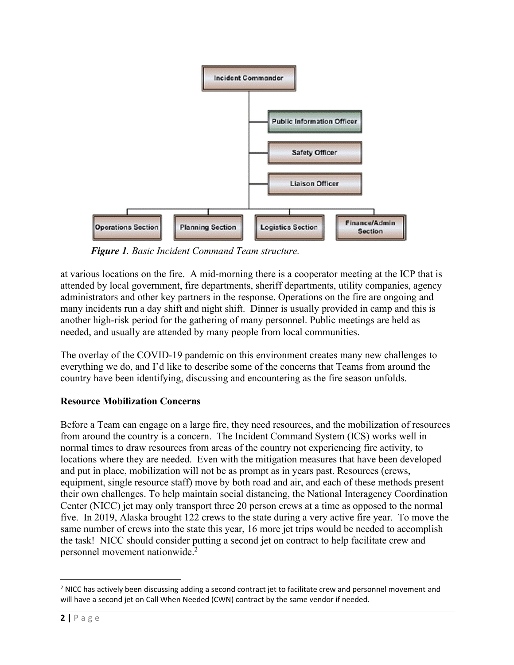

*Figure 1. Basic Incident Command Team structure.*

at various locations on the fire. A mid-morning there is a cooperator meeting at the ICP that is attended by local government, fire departments, sheriff departments, utility companies, agency administrators and other key partners in the response. Operations on the fire are ongoing and many incidents run a day shift and night shift. Dinner is usually provided in camp and this is another high-risk period for the gathering of many personnel. Public meetings are held as needed, and usually are attended by many people from local communities.

The overlay of the COVID-19 pandemic on this environment creates many new challenges to everything we do, and I'd like to describe some of the concerns that Teams from around the country have been identifying, discussing and encountering as the fire season unfolds.

# **Resource Mobilization Concerns**

Before a Team can engage on a large fire, they need resources, and the mobilization of resources from around the country is a concern. The Incident Command System (ICS) works well in normal times to draw resources from areas of the country not experiencing fire activity, to locations where they are needed. Even with the mitigation measures that have been developed and put in place, mobilization will not be as prompt as in years past. Resources (crews, equipment, single resource staff) move by both road and air, and each of these methods present their own challenges. To help maintain social distancing, the National Interagency Coordination Center (NICC) jet may only transport three 20 person crews at a time as opposed to the normal five. In 2019, Alaska brought 122 crews to the state during a very active fire year. To move the same number of crews into the state this year, 16 more jet trips would be needed to accomplish the task! NICC should consider putting a second jet on contract to help facilitate crew and personnel movement nationwide. 2

<sup>&</sup>lt;sup>2</sup> NICC has actively been discussing adding a second contract jet to facilitate crew and personnel movement and will have a second jet on Call When Needed (CWN) contract by the same vendor if needed.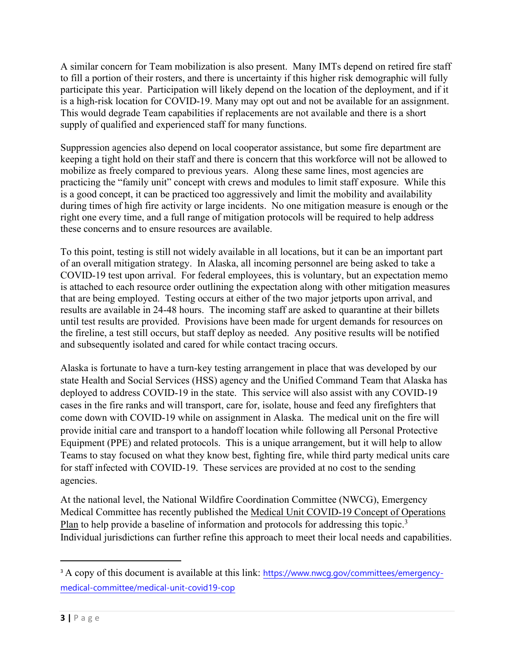A similar concern for Team mobilization is also present. Many IMTs depend on retired fire staff to fill a portion of their rosters, and there is uncertainty if this higher risk demographic will fully participate this year. Participation will likely depend on the location of the deployment, and if it is a high-risk location for COVID-19. Many may opt out and not be available for an assignment. This would degrade Team capabilities if replacements are not available and there is a short supply of qualified and experienced staff for many functions.

Suppression agencies also depend on local cooperator assistance, but some fire department are keeping a tight hold on their staff and there is concern that this workforce will not be allowed to mobilize as freely compared to previous years. Along these same lines, most agencies are practicing the "family unit" concept with crews and modules to limit staff exposure. While this is a good concept, it can be practiced too aggressively and limit the mobility and availability during times of high fire activity or large incidents. No one mitigation measure is enough or the right one every time, and a full range of mitigation protocols will be required to help address these concerns and to ensure resources are available.

To this point, testing is still not widely available in all locations, but it can be an important part of an overall mitigation strategy. In Alaska, all incoming personnel are being asked to take a COVID-19 test upon arrival. For federal employees, this is voluntary, but an expectation memo is attached to each resource order outlining the expectation along with other mitigation measures that are being employed. Testing occurs at either of the two major jetports upon arrival, and results are available in 24-48 hours. The incoming staff are asked to quarantine at their billets until test results are provided. Provisions have been made for urgent demands for resources on the fireline, a test still occurs, but staff deploy as needed. Any positive results will be notified and subsequently isolated and cared for while contact tracing occurs.

Alaska is fortunate to have a turn-key testing arrangement in place that was developed by our state Health and Social Services (HSS) agency and the Unified Command Team that Alaska has deployed to address COVID-19 in the state. This service will also assist with any COVID-19 cases in the fire ranks and will transport, care for, isolate, house and feed any firefighters that come down with COVID-19 while on assignment in Alaska. The medical unit on the fire will provide initial care and transport to a handoff location while following all Personal Protective Equipment (PPE) and related protocols. This is a unique arrangement, but it will help to allow Teams to stay focused on what they know best, fighting fire, while third party medical units care for staff infected with COVID-19. These services are provided at no cost to the sending agencies.

At the national level, the National Wildfire Coordination Committee (NWCG), Emergency Medical Committee has recently published the Medical Unit COVID-19 Concept of Operations Plan to help provide a baseline of information and protocols for addressing this topic.<sup>3</sup> Individual jurisdictions can further refine this approach to meet their local needs and capabilities.

<sup>&</sup>lt;sup>3</sup> A copy of this document is available at this link: [https://www.nwcg.gov/committees/emergency](https://urldefense.com/v3/__https:/www.nwcg.gov/committees/emergency-medical-committee/medical-unit-covid19-cop__;!!J2_8gdp6gZQ!-UtSG83xr67BzwI3j8x_YQf04zrCVkawRUkinSl4Yx4A_iZKKZ62_JSnpuM7FAsy2PSu$)[medical-committee/medical-unit-covid19-cop](https://urldefense.com/v3/__https:/www.nwcg.gov/committees/emergency-medical-committee/medical-unit-covid19-cop__;!!J2_8gdp6gZQ!-UtSG83xr67BzwI3j8x_YQf04zrCVkawRUkinSl4Yx4A_iZKKZ62_JSnpuM7FAsy2PSu$)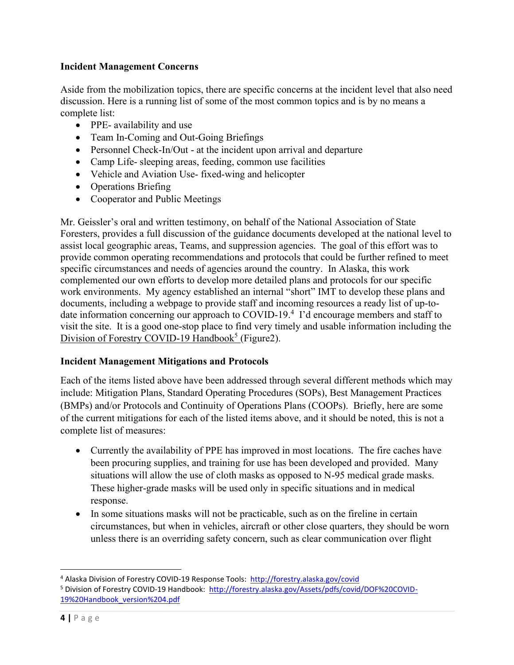#### **Incident Management Concerns**

Aside from the mobilization topics, there are specific concerns at the incident level that also need discussion. Here is a running list of some of the most common topics and is by no means a complete list:

- PPE- availability and use
- Team In-Coming and Out-Going Briefings
- Personnel Check-In/Out at the incident upon arrival and departure
- Camp Life- sleeping areas, feeding, common use facilities
- Vehicle and Aviation Use- fixed-wing and helicopter
- Operations Briefing
- Cooperator and Public Meetings

Mr. Geissler's oral and written testimony, on behalf of the National Association of State Foresters, provides a full discussion of the guidance documents developed at the national level to assist local geographic areas, Teams, and suppression agencies. The goal of this effort was to provide common operating recommendations and protocols that could be further refined to meet specific circumstances and needs of agencies around the country. In Alaska, this work complemented our own efforts to develop more detailed plans and protocols for our specific work environments. My agency established an internal "short" IMT to develop these plans and documents, including a webpage to provide staff and incoming resources a ready list of up-todate information concerning our approach to COVID-19.<sup>4</sup> I'd encourage members and staff to visit the site. It is a good one-stop place to find very timely and usable information including the Division of Forestry COVID-19 Handbook<sup>5</sup> (Figure2).

#### **Incident Management Mitigations and Protocols**

Each of the items listed above have been addressed through several different methods which may include: Mitigation Plans, Standard Operating Procedures (SOPs), Best Management Practices (BMPs) and/or Protocols and Continuity of Operations Plans (COOPs). Briefly, here are some of the current mitigations for each of the listed items above, and it should be noted, this is not a complete list of measures:

- Currently the availability of PPE has improved in most locations. The fire caches have been procuring supplies, and training for use has been developed and provided. Many situations will allow the use of cloth masks as opposed to N-95 medical grade masks. These higher-grade masks will be used only in specific situations and in medical response.
- In some situations masks will not be practicable, such as on the fireline in certain circumstances, but when in vehicles, aircraft or other close quarters, they should be worn unless there is an overriding safety concern, such as clear communication over flight

<sup>4</sup> Alaska Division of Forestry COVID-19 Response Tools:<http://forestry.alaska.gov/covid>

<sup>5</sup> Division of Forestry COVID-19 Handbook: [http://forestry.alaska.gov/Assets/pdfs/covid/DOF%20COVID-](http://forestry.alaska.gov/Assets/pdfs/covid/DOF%20COVID-19%20Handbook_version%204.pdf)[19%20Handbook\\_version%204.pdf](http://forestry.alaska.gov/Assets/pdfs/covid/DOF%20COVID-19%20Handbook_version%204.pdf)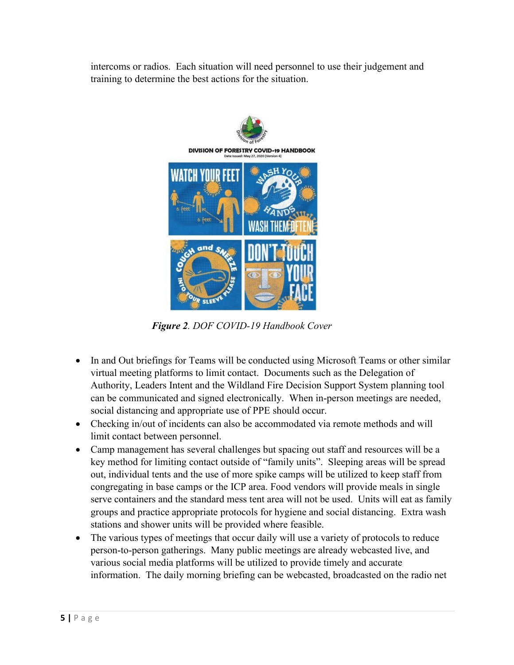intercoms or radios. Each situation will need personnel to use their judgement and training to determine the best actions for the situation.



*Figure 2. DOF COVID-19 Handbook Cover*

- In and Out briefings for Teams will be conducted using Microsoft Teams or other similar virtual meeting platforms to limit contact. Documents such as the Delegation of Authority, Leaders Intent and the Wildland Fire Decision Support System planning tool can be communicated and signed electronically. When in-person meetings are needed, social distancing and appropriate use of PPE should occur.
- Checking in/out of incidents can also be accommodated via remote methods and will limit contact between personnel.
- Camp management has several challenges but spacing out staff and resources will be a key method for limiting contact outside of "family units". Sleeping areas will be spread out, individual tents and the use of more spike camps will be utilized to keep staff from congregating in base camps or the ICP area. Food vendors will provide meals in single serve containers and the standard mess tent area will not be used. Units will eat as family groups and practice appropriate protocols for hygiene and social distancing. Extra wash stations and shower units will be provided where feasible.
- The various types of meetings that occur daily will use a variety of protocols to reduce person-to-person gatherings. Many public meetings are already webcasted live, and various social media platforms will be utilized to provide timely and accurate information. The daily morning briefing can be webcasted, broadcasted on the radio net